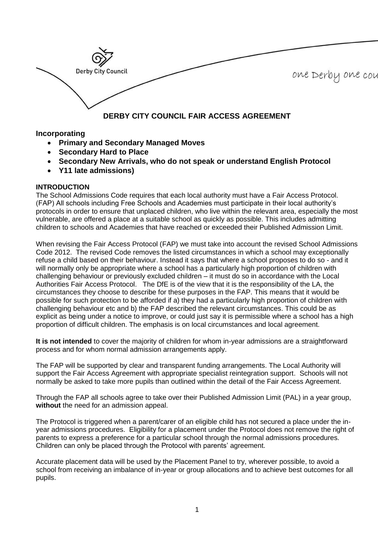

# **Incorporating**

- **Primary and Secondary Managed Moves**
- **Secondary Hard to Place**
- **Secondary New Arrivals, who do not speak or understand English Protocol**
- **Y11 late admissions)**

# **INTRODUCTION**

The School Admissions Code requires that each local authority must have a Fair Access Protocol. (FAP) All schools including Free Schools and Academies must participate in their local authority's protocols in order to ensure that unplaced children, who live within the relevant area, especially the most vulnerable, are offered a place at a suitable school as quickly as possible. This includes admitting children to schools and Academies that have reached or exceeded their Published Admission Limit.

When revising the Fair Access Protocol (FAP) we must take into account the revised School Admissions Code 2012. The revised Code removes the listed circumstances in which a school may exceptionally refuse a child based on their behaviour. Instead it says that where a school proposes to do so - and it will normally only be appropriate where a school has a particularly high proportion of children with challenging behaviour or previously excluded children – it must do so in accordance with the Local Authorities Fair Access Protocol. The DfE is of the view that it is the responsibility of the LA, the circumstances they choose to describe for these purposes in the FAP. This means that it would be possible for such protection to be afforded if a) they had a particularly high proportion of children with challenging behaviour etc and b) the FAP described the relevant circumstances. This could be as explicit as being under a notice to improve, or could just say it is permissible where a school has a high proportion of difficult children. The emphasis is on local circumstances and local agreement.

**It is not intended** to cover the majority of children for whom in-year admissions are a straightforward process and for whom normal admission arrangements apply.

The FAP will be supported by clear and transparent funding arrangements. The Local Authority will support the Fair Access Agreement with appropriate specialist reintegration support. Schools will not normally be asked to take more pupils than outlined within the detail of the Fair Access Agreement.

Through the FAP all schools agree to take over their Published Admission Limit (PAL) in a year group, **without** the need for an admission appeal.

The Protocol is triggered when a parent/carer of an eligible child has not secured a place under the inyear admissions procedures. Eligibility for a placement under the Protocol does not remove the right of parents to express a preference for a particular school through the normal admissions procedures. Children can only be placed through the Protocol with parents' agreement.

Accurate placement data will be used by the Placement Panel to try, wherever possible, to avoid a school from receiving an imbalance of in-year or group allocations and to achieve best outcomes for all pupils.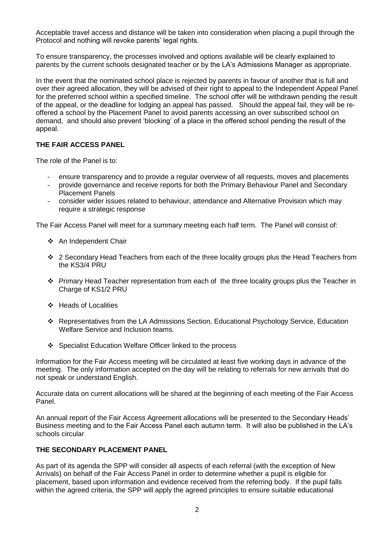Acceptable travel access and distance will be taken into consideration when placing a pupil through the Protocol and nothing will revoke parents' legal rights.

To ensure transparency, the processes involved and options available will be clearly explained to parents by the current schools designated teacher or by the LA's Admissions Manager as appropriate.

In the event that the nominated school place is rejected by parents in favour of another that is full and over their agreed allocation, they will be advised of their right to appeal to the Independent Appeal Panel for the preferred school within a specified timeline. The school offer will be withdrawn pending the result of the appeal, or the deadline for lodging an appeal has passed. Should the appeal fail, they will be reoffered a school by the Placement Panel to avoid parents accessing an over subscribed school on demand, and should also prevent 'blocking' of a place in the offered school pending the result of the appeal.

#### **THE FAIR ACCESS PANEL**

The role of the Panel is to:

- ensure transparency and to provide a regular overview of all requests, moves and placements
- provide governance and receive reports for both the Primary Behaviour Panel and Secondary Placement Panels
- consider wider issues related to behaviour, attendance and Alternative Provision which may require a strategic response

The Fair Access Panel will meet for a summary meeting each half term. The Panel will consist of:

- An Independent Chair
- ❖ 2 Secondary Head Teachers from each of the three locality groups plus the Head Teachers from the KS3/4 PRU
- **Primary Head Teacher representation from each of the three locality groups plus the Teacher in** Charge of KS1/2 PRU
- ❖ Heads of Localities
- Representatives from the LA Admissions Section, Educational Psychology Service, Education Welfare Service and Inclusion teams.
- ❖ Specialist Education Welfare Officer linked to the process

Information for the Fair Access meeting will be circulated at least five working days in advance of the meeting. The only information accepted on the day will be relating to referrals for new arrivals that do not speak or understand English.

Accurate data on current allocations will be shared at the beginning of each meeting of the Fair Access Panel.

An annual report of the Fair Access Agreement allocations will be presented to the Secondary Heads' Business meeting and to the Fair Access Panel each autumn term. It will also be published in the LA's schools circular

#### **THE SECONDARY PLACEMENT PANEL**

As part of its agenda the SPP will consider all aspects of each referral (with the exception of New Arrivals) on behalf of the Fair Access Panel in order to determine whether a pupil is eligible for placement, based upon information and evidence received from the referring body. If the pupil falls within the agreed criteria, the SPP will apply the agreed principles to ensure suitable educational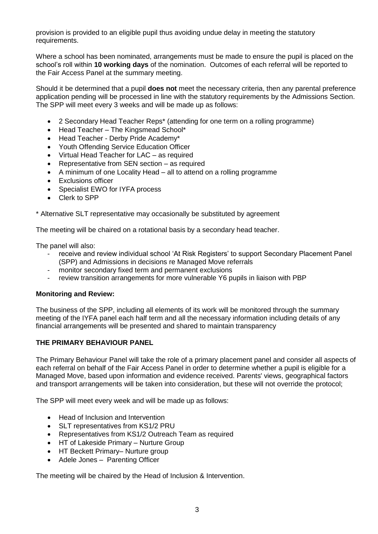provision is provided to an eligible pupil thus avoiding undue delay in meeting the statutory requirements.

Where a school has been nominated, arrangements must be made to ensure the pupil is placed on the school's roll within **10 working days** of the nomination. Outcomes of each referral will be reported to the Fair Access Panel at the summary meeting.

Should it be determined that a pupil **does not** meet the necessary criteria, then any parental preference application pending will be processed in line with the statutory requirements by the Admissions Section. The SPP will meet every 3 weeks and will be made up as follows:

- 2 Secondary Head Teacher Reps\* (attending for one term on a rolling programme)
- Head Teacher The Kingsmead School\*
- Head Teacher Derby Pride Academy\*
- Youth Offending Service Education Officer
- Virtual Head Teacher for LAC as required
- Representative from SEN section as required
- A minimum of one Locality Head all to attend on a rolling programme
- **•** Exclusions officer
- Specialist EWO for IYFA process
- Clerk to SPP

\* Alternative SLT representative may occasionally be substituted by agreement

The meeting will be chaired on a rotational basis by a secondary head teacher.

The panel will also:

- receive and review individual school 'At Risk Registers' to support Secondary Placement Panel (SPP) and Admissions in decisions re Managed Move referrals
- monitor secondary fixed term and permanent exclusions
- review transition arrangements for more vulnerable Y6 pupils in liaison with PBP

#### **Monitoring and Review:**

The business of the SPP, including all elements of its work will be monitored through the summary meeting of the IYFA panel each half term and all the necessary information including details of any financial arrangements will be presented and shared to maintain transparency

#### **THE PRIMARY BEHAVIOUR PANEL**

The Primary Behaviour Panel will take the role of a primary placement panel and consider all aspects of each referral on behalf of the Fair Access Panel in order to determine whether a pupil is eligible for a Managed Move, based upon information and evidence received. Parents' views, geographical factors and transport arrangements will be taken into consideration, but these will not override the protocol;

The SPP will meet every week and will be made up as follows:

- Head of Inclusion and Intervention
- SLT representatives from KS1/2 PRU
- Representatives from KS1/2 Outreach Team as required
- HT of Lakeside Primary Nurture Group
- HT Beckett Primary– Nurture group
- Adele Jones Parenting Officer

The meeting will be chaired by the Head of Inclusion & Intervention.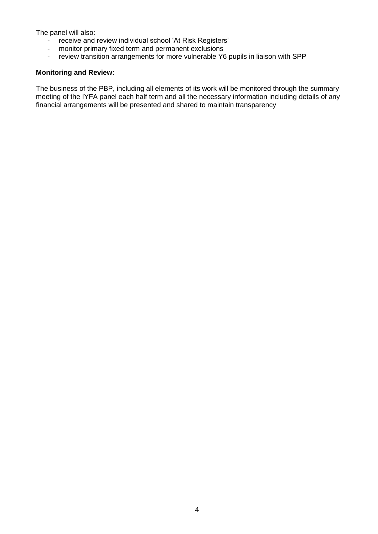The panel will also:

- receive and review individual school 'At Risk Registers'
- monitor primary fixed term and permanent exclusions<br>- review transition arrangements for more vulnerable Y6
- review transition arrangements for more vulnerable Y6 pupils in liaison with SPP

## **Monitoring and Review:**

The business of the PBP, including all elements of its work will be monitored through the summary meeting of the IYFA panel each half term and all the necessary information including details of any financial arrangements will be presented and shared to maintain transparency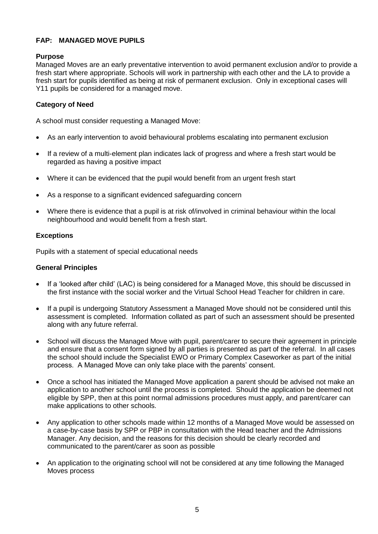# **FAP: MANAGED MOVE PUPILS**

# **Purpose**

Managed Moves are an early preventative intervention to avoid permanent exclusion and/or to provide a fresh start where appropriate. Schools will work in partnership with each other and the LA to provide a fresh start for pupils identified as being at risk of permanent exclusion. Only in exceptional cases will Y11 pupils be considered for a managed move.

# **Category of Need**

A school must consider requesting a Managed Move:

- As an early intervention to avoid behavioural problems escalating into permanent exclusion
- If a review of a multi-element plan indicates lack of progress and where a fresh start would be regarded as having a positive impact
- Where it can be evidenced that the pupil would benefit from an urgent fresh start
- As a response to a significant evidenced safeguarding concern
- Where there is evidence that a pupil is at risk of/involved in criminal behaviour within the local neighbourhood and would benefit from a fresh start.

#### **Exceptions**

Pupils with a statement of special educational needs

#### **General Principles**

- If a 'looked after child' (LAC) is being considered for a Managed Move, this should be discussed in the first instance with the social worker and the Virtual School Head Teacher for children in care.
- If a pupil is undergoing Statutory Assessment a Managed Move should not be considered until this assessment is completed. Information collated as part of such an assessment should be presented along with any future referral.
- School will discuss the Managed Move with pupil, parent/carer to secure their agreement in principle and ensure that a consent form signed by all parties is presented as part of the referral. In all cases the school should include the Specialist EWO or Primary Complex Caseworker as part of the initial process. A Managed Move can only take place with the parents' consent.
- Once a school has initiated the Managed Move application a parent should be advised not make an application to another school until the process is completed. Should the application be deemed not eligible by SPP, then at this point normal admissions procedures must apply, and parent/carer can make applications to other schools.
- Any application to other schools made within 12 months of a Managed Move would be assessed on a case-by-case basis by SPP or PBP in consultation with the Head teacher and the Admissions Manager. Any decision, and the reasons for this decision should be clearly recorded and communicated to the parent/carer as soon as possible
- An application to the originating school will not be considered at any time following the Managed Moves process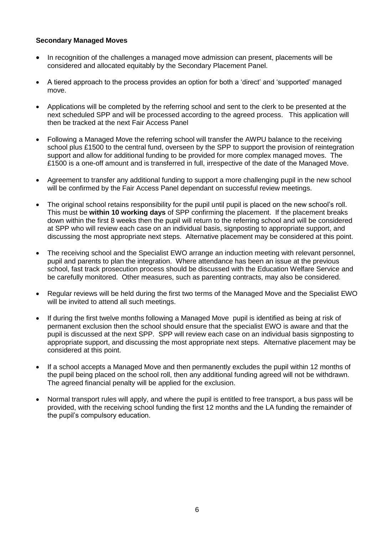## **Secondary Managed Moves**

- In recognition of the challenges a managed move admission can present, placements will be considered and allocated equitably by the Secondary Placement Panel.
- A tiered approach to the process provides an option for both a 'direct' and 'supported' managed move.
- Applications will be completed by the referring school and sent to the clerk to be presented at the next scheduled SPP and will be processed according to the agreed process. This application will then be tracked at the next Fair Access Panel
- Following a Managed Move the referring school will transfer the AWPU balance to the receiving school plus £1500 to the central fund, overseen by the SPP to support the provision of reintegration support and allow for additional funding to be provided for more complex managed moves. The £1500 is a one-off amount and is transferred in full, irrespective of the date of the Managed Move.
- Agreement to transfer any additional funding to support a more challenging pupil in the new school will be confirmed by the Fair Access Panel dependant on successful review meetings.
- The original school retains responsibility for the pupil until pupil is placed on the new school's roll. This must be **within 10 working days** of SPP confirming the placement. If the placement breaks down within the first 8 weeks then the pupil will return to the referring school and will be considered at SPP who will review each case on an individual basis, signposting to appropriate support, and discussing the most appropriate next steps. Alternative placement may be considered at this point.
- The receiving school and the Specialist EWO arrange an induction meeting with relevant personnel. pupil and parents to plan the integration. Where attendance has been an issue at the previous school, fast track prosecution process should be discussed with the Education Welfare Service and be carefully monitored. Other measures, such as parenting contracts, may also be considered.
- Regular reviews will be held during the first two terms of the Managed Move and the Specialist EWO will be invited to attend all such meetings.
- If during the first twelve months following a Managed Move pupil is identified as being at risk of permanent exclusion then the school should ensure that the specialist EWO is aware and that the pupil is discussed at the next SPP. SPP will review each case on an individual basis signposting to appropriate support, and discussing the most appropriate next steps. Alternative placement may be considered at this point.
- If a school accepts a Managed Move and then permanently excludes the pupil within 12 months of the pupil being placed on the school roll, then any additional funding agreed will not be withdrawn. The agreed financial penalty will be applied for the exclusion.
- Normal transport rules will apply, and where the pupil is entitled to free transport, a bus pass will be provided, with the receiving school funding the first 12 months and the LA funding the remainder of the pupil's compulsory education.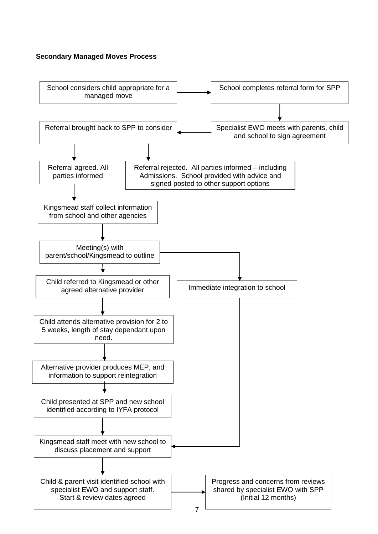#### **Secondary Managed Moves Process**

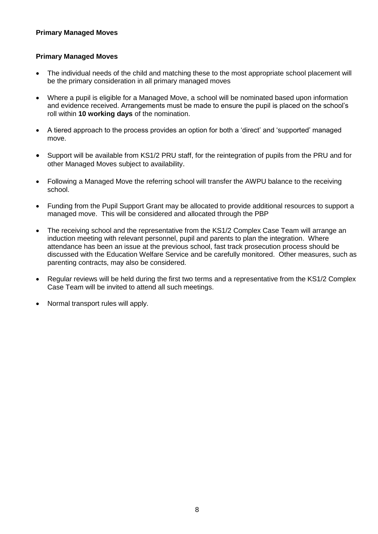# **Primary Managed Moves**

## **Primary Managed Moves**

- The individual needs of the child and matching these to the most appropriate school placement will be the primary consideration in all primary managed moves
- Where a pupil is eligible for a Managed Move, a school will be nominated based upon information and evidence received. Arrangements must be made to ensure the pupil is placed on the school's roll within **10 working days** of the nomination.
- A tiered approach to the process provides an option for both a 'direct' and 'supported' managed move.
- Support will be available from KS1/2 PRU staff, for the reintegration of pupils from the PRU and for other Managed Moves subject to availability.
- Following a Managed Move the referring school will transfer the AWPU balance to the receiving school.
- Funding from the Pupil Support Grant may be allocated to provide additional resources to support a managed move. This will be considered and allocated through the PBP
- The receiving school and the representative from the KS1/2 Complex Case Team will arrange an induction meeting with relevant personnel, pupil and parents to plan the integration. Where attendance has been an issue at the previous school, fast track prosecution process should be discussed with the Education Welfare Service and be carefully monitored. Other measures, such as parenting contracts, may also be considered.
- Regular reviews will be held during the first two terms and a representative from the KS1/2 Complex Case Team will be invited to attend all such meetings.
- Normal transport rules will apply.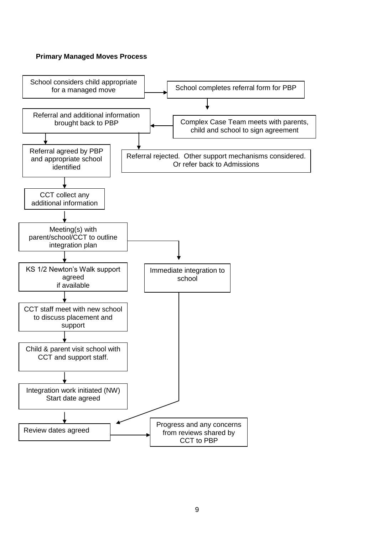#### **Primary Managed Moves Process**

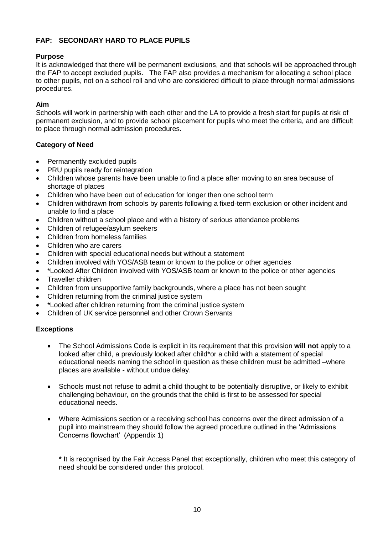# **FAP: SECONDARY HARD TO PLACE PUPILS**

## **Purpose**

It is acknowledged that there will be permanent exclusions, and that schools will be approached through the FAP to accept excluded pupils. The FAP also provides a mechanism for allocating a school place to other pupils, not on a school roll and who are considered difficult to place through normal admissions procedures.

# **Aim**

Schools will work in partnership with each other and the LA to provide a fresh start for pupils at risk of permanent exclusion, and to provide school placement for pupils who meet the criteria, and are difficult to place through normal admission procedures.

## **Category of Need**

- Permanently excluded pupils
- PRU pupils ready for reintegration
- Children whose parents have been unable to find a place after moving to an area because of shortage of places
- Children who have been out of education for longer then one school term
- Children withdrawn from schools by parents following a fixed-term exclusion or other incident and unable to find a place
- Children without a school place and with a history of serious attendance problems
- Children of refugee/asylum seekers
- Children from homeless families
- Children who are carers
- Children with special educational needs but without a statement
- Children involved with YOS/ASB team or known to the police or other agencies
- \*Looked After Children involved with YOS/ASB team or known to the police or other agencies
- Traveller children
- Children from unsupportive family backgrounds, where a place has not been sought
- Children returning from the criminal justice system
- \*Looked after children returning from the criminal justice system
- Children of UK service personnel and other Crown Servants

#### **Exceptions**

- The School Admissions Code is explicit in its requirement that this provision **will not** apply to a looked after child, a previously looked after child\*or a child with a statement of special educational needs naming the school in question as these children must be admitted –where places are available - without undue delay.
- Schools must not refuse to admit a child thought to be potentially disruptive, or likely to exhibit challenging behaviour, on the grounds that the child is first to be assessed for special educational needs.
- Where Admissions section or a receiving school has concerns over the direct admission of a pupil into mainstream they should follow the agreed procedure outlined in the 'Admissions Concerns flowchart' (Appendix 1)

**\*** It is recognised by the Fair Access Panel that exceptionally, children who meet this category of need should be considered under this protocol.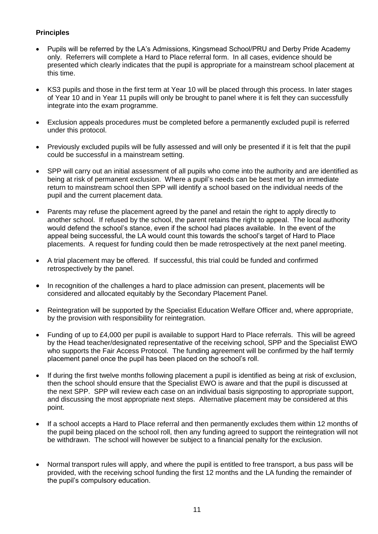# **Principles**

- Pupils will be referred by the LA's Admissions, Kingsmead School/PRU and Derby Pride Academy only. Referrers will complete a Hard to Place referral form. In all cases, evidence should be presented which clearly indicates that the pupil is appropriate for a mainstream school placement at this time.
- KS3 pupils and those in the first term at Year 10 will be placed through this process. In later stages of Year 10 and in Year 11 pupils will only be brought to panel where it is felt they can successfully integrate into the exam programme.
- Exclusion appeals procedures must be completed before a permanently excluded pupil is referred under this protocol.
- Previously excluded pupils will be fully assessed and will only be presented if it is felt that the pupil could be successful in a mainstream setting.
- SPP will carry out an initial assessment of all pupils who come into the authority and are identified as being at risk of permanent exclusion. Where a pupil's needs can be best met by an immediate return to mainstream school then SPP will identify a school based on the individual needs of the pupil and the current placement data.
- Parents may refuse the placement agreed by the panel and retain the right to apply directly to another school. If refused by the school, the parent retains the right to appeal. The local authority would defend the school's stance, even if the school had places available. In the event of the appeal being successful, the LA would count this towards the school's target of Hard to Place placements. A request for funding could then be made retrospectively at the next panel meeting.
- A trial placement may be offered. If successful, this trial could be funded and confirmed retrospectively by the panel.
- In recognition of the challenges a hard to place admission can present, placements will be considered and allocated equitably by the Secondary Placement Panel.
- Reintegration will be supported by the Specialist Education Welfare Officer and, where appropriate, by the provision with responsibility for reintegration.
- Funding of up to £4,000 per pupil is available to support Hard to Place referrals. This will be agreed by the Head teacher/designated representative of the receiving school, SPP and the Specialist EWO who supports the Fair Access Protocol. The funding agreement will be confirmed by the half termly placement panel once the pupil has been placed on the school's roll.
- If during the first twelve months following placement a pupil is identified as being at risk of exclusion, then the school should ensure that the Specialist EWO is aware and that the pupil is discussed at the next SPP. SPP will review each case on an individual basis signposting to appropriate support, and discussing the most appropriate next steps. Alternative placement may be considered at this point.
- If a school accepts a Hard to Place referral and then permanently excludes them within 12 months of the pupil being placed on the school roll, then any funding agreed to support the reintegration will not be withdrawn. The school will however be subject to a financial penalty for the exclusion.
- Normal transport rules will apply, and where the pupil is entitled to free transport, a bus pass will be provided, with the receiving school funding the first 12 months and the LA funding the remainder of the pupil's compulsory education.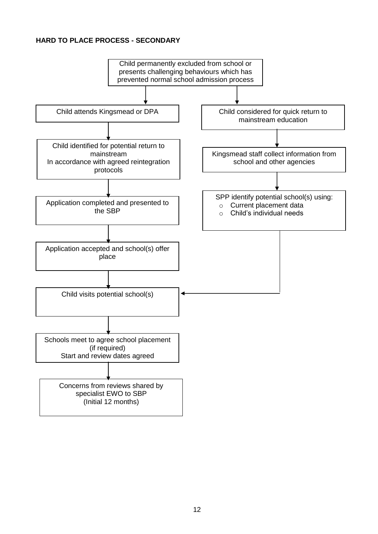# **HARD TO PLACE PROCESS - SECONDARY**

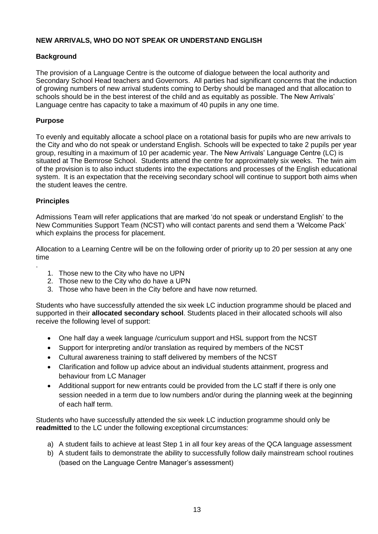# **NEW ARRIVALS, WHO DO NOT SPEAK OR UNDERSTAND ENGLISH**

## **Background**

The provision of a Language Centre is the outcome of dialogue between the local authority and Secondary School Head teachers and Governors. All parties had significant concerns that the induction of growing numbers of new arrival students coming to Derby should be managed and that allocation to schools should be in the best interest of the child and as equitably as possible. The New Arrivals' Language centre has capacity to take a maximum of 40 pupils in any one time.

## **Purpose**

To evenly and equitably allocate a school place on a rotational basis for pupils who are new arrivals to the City and who do not speak or understand English. Schools will be expected to take 2 pupils per year group, resulting in a maximum of 10 per academic year. The New Arrivals' Language Centre (LC) is situated at The Bemrose School. Students attend the centre for approximately six weeks. The twin aim of the provision is to also induct students into the expectations and processes of the English educational system. It is an expectation that the receiving secondary school will continue to support both aims when the student leaves the centre.

#### **Principles**

.

Admissions Team will refer applications that are marked 'do not speak or understand English' to the New Communities Support Team (NCST) who will contact parents and send them a 'Welcome Pack' which explains the process for placement.

Allocation to a Learning Centre will be on the following order of priority up to 20 per session at any one time

- 1. Those new to the City who have no UPN
- 2. Those new to the City who do have a UPN
- 3. Those who have been in the City before and have now returned.

Students who have successfully attended the six week LC induction programme should be placed and supported in their **allocated secondary school**. Students placed in their allocated schools will also receive the following level of support:

- One half day a week language / curriculum support and HSL support from the NCST
- Support for interpreting and/or translation as required by members of the NCST
- Cultural awareness training to staff delivered by members of the NCST
- Clarification and follow up advice about an individual students attainment, progress and behaviour from LC Manager
- Additional support for new entrants could be provided from the LC staff if there is only one session needed in a term due to low numbers and/or during the planning week at the beginning of each half term.

Students who have successfully attended the six week LC induction programme should only be **readmitted** to the LC under the following exceptional circumstances:

- a) A student fails to achieve at least Step 1 in all four key areas of the QCA language assessment
- b) A student fails to demonstrate the ability to successfully follow daily mainstream school routines (based on the Language Centre Manager's assessment)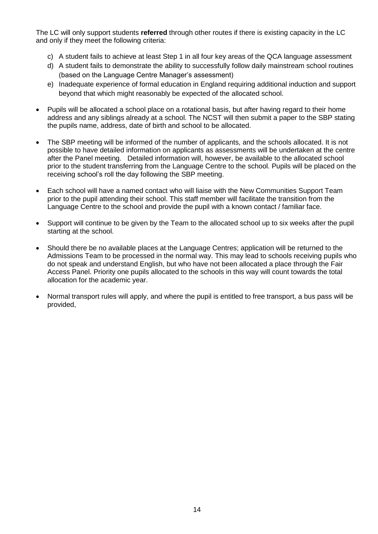The LC will only support students **referred** through other routes if there is existing capacity in the LC and only if they meet the following criteria:

- c) A student fails to achieve at least Step 1 in all four key areas of the QCA language assessment
- d) A student fails to demonstrate the ability to successfully follow daily mainstream school routines (based on the Language Centre Manager's assessment)
- e) Inadequate experience of formal education in England requiring additional induction and support beyond that which might reasonably be expected of the allocated school.
- Pupils will be allocated a school place on a rotational basis, but after having regard to their home address and any siblings already at a school. The NCST will then submit a paper to the SBP stating the pupils name, address, date of birth and school to be allocated.
- The SBP meeting will be informed of the number of applicants, and the schools allocated. It is not possible to have detailed information on applicants as assessments will be undertaken at the centre after the Panel meeting. Detailed information will, however, be available to the allocated school prior to the student transferring from the Language Centre to the school. Pupils will be placed on the receiving school's roll the day following the SBP meeting.
- Each school will have a named contact who will liaise with the New Communities Support Team prior to the pupil attending their school. This staff member will facilitate the transition from the Language Centre to the school and provide the pupil with a known contact / familiar face.
- Support will continue to be given by the Team to the allocated school up to six weeks after the pupil starting at the school.
- Should there be no available places at the Language Centres; application will be returned to the Admissions Team to be processed in the normal way. This may lead to schools receiving pupils who do not speak and understand English, but who have not been allocated a place through the Fair Access Panel. Priority one pupils allocated to the schools in this way will count towards the total allocation for the academic year.
- Normal transport rules will apply, and where the pupil is entitled to free transport, a bus pass will be provided,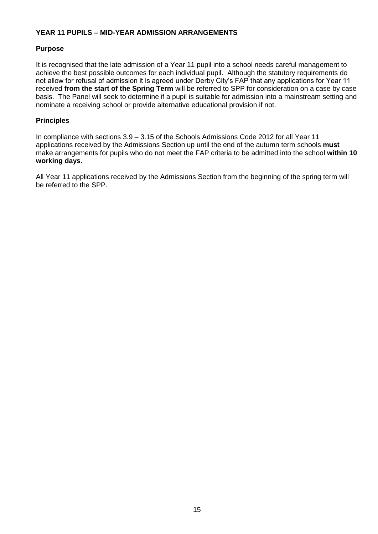## **YEAR 11 PUPILS – MID-YEAR ADMISSION ARRANGEMENTS**

## **Purpose**

It is recognised that the late admission of a Year 11 pupil into a school needs careful management to achieve the best possible outcomes for each individual pupil. Although the statutory requirements do not allow for refusal of admission it is agreed under Derby City's FAP that any applications for Year 11 received **from the start of the Spring Term** will be referred to SPP for consideration on a case by case basis. The Panel will seek to determine if a pupil is suitable for admission into a mainstream setting and nominate a receiving school or provide alternative educational provision if not.

## **Principles**

In compliance with sections 3.9 – 3.15 of the Schools Admissions Code 2012 for all Year 11 applications received by the Admissions Section up until the end of the autumn term schools **must** make arrangements for pupils who do not meet the FAP criteria to be admitted into the school **within 10 working days**.

All Year 11 applications received by the Admissions Section from the beginning of the spring term will be referred to the SPP.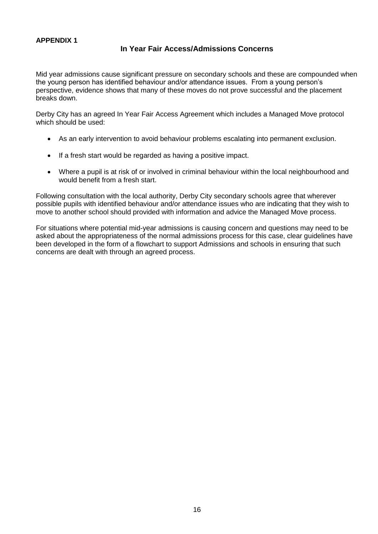# **APPENDIX 1**

# **In Year Fair Access/Admissions Concerns**

Mid year admissions cause significant pressure on secondary schools and these are compounded when the young person has identified behaviour and/or attendance issues. From a young person's perspective, evidence shows that many of these moves do not prove successful and the placement breaks down.

Derby City has an agreed In Year Fair Access Agreement which includes a Managed Move protocol which should be used:

- As an early intervention to avoid behaviour problems escalating into permanent exclusion.
- If a fresh start would be regarded as having a positive impact.
- Where a pupil is at risk of or involved in criminal behaviour within the local neighbourhood and would benefit from a fresh start.

Following consultation with the local authority, Derby City secondary schools agree that wherever possible pupils with identified behaviour and/or attendance issues who are indicating that they wish to move to another school should provided with information and advice the Managed Move process.

For situations where potential mid-year admissions is causing concern and questions may need to be asked about the appropriateness of the normal admissions process for this case, clear guidelines have been developed in the form of a flowchart to support Admissions and schools in ensuring that such concerns are dealt with through an agreed process.